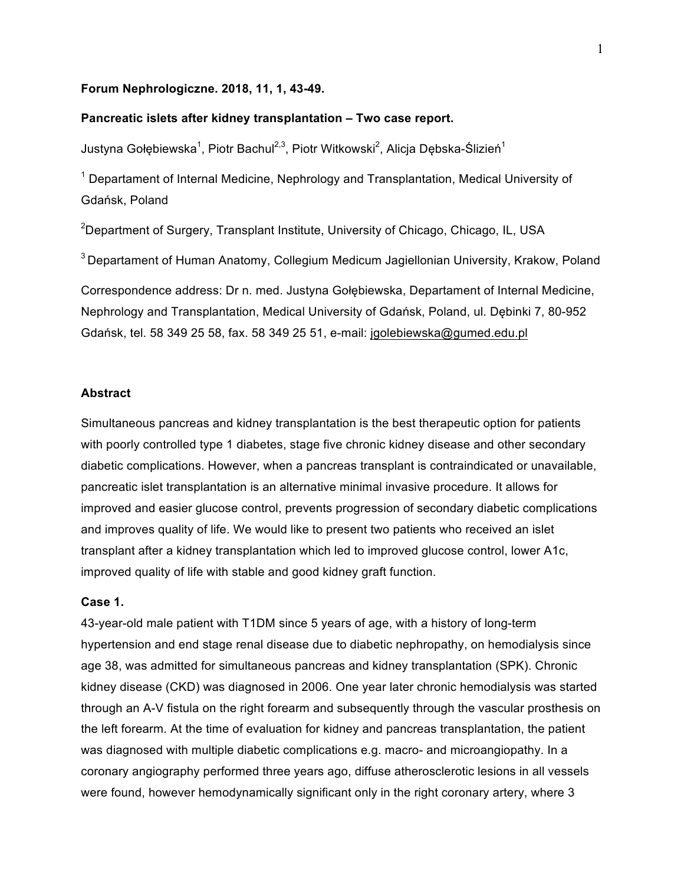## **Forum Nephrologiczne. 2018, 11, 1, 43-49.**

### **Pancreatic islets after kidney transplantation – Two case report.**

Justyna Gołębiewska<sup>1</sup>, Piotr Bachul<sup>2,3</sup>, Piotr Witkowski<sup>2</sup>, Alicja Dębska-Ślizień<sup>1</sup>

 $1$  Departament of Internal Medicine, Nephrology and Transplantation, Medical University of Gdańsk, Poland

 $^{2}$ Department of Surgery, Transplant Institute, University of Chicago, Chicago, IL, USA

<sup>3</sup> Departament of Human Anatomy, Collegium Medicum Jagiellonian University, Krakow, Poland

Correspondence address: Dr n. med. Justyna Gołębiewska, Departament of Internal Medicine, Nephrology and Transplantation, Medical University of Gdańsk, Poland, ul. Dębinki 7, 80-952 Gdańsk, tel. 58 349 25 58, fax. 58 349 25 51, e-mail: jgolebiewska@gumed.edu.pl

## **Abstract**

Simultaneous pancreas and kidney transplantation is the best therapeutic option for patients with poorly controlled type 1 diabetes, stage five chronic kidney disease and other secondary diabetic complications. However, when a pancreas transplant is contraindicated or unavailable, pancreatic islet transplantation is an alternative minimal invasive procedure. It allows for improved and easier glucose control, prevents progression of secondary diabetic complications and improves quality of life. We would like to present two patients who received an islet transplant after a kidney transplantation which led to improved glucose control, lower A1c, improved quality of life with stable and good kidney graft function.

### **Case 1.**

43-year-old male patient with T1DM since 5 years of age, with a history of long-term hypertension and end stage renal disease due to diabetic nephropathy, on hemodialysis since age 38, was admitted for simultaneous pancreas and kidney transplantation (SPK). Chronic kidney disease (CKD) was diagnosed in 2006. One year later chronic hemodialysis was started through an A-V fistula on the right forearm and subsequently through the vascular prosthesis on the left forearm. At the time of evaluation for kidney and pancreas transplantation, the patient was diagnosed with multiple diabetic complications e.g. macro- and microangiopathy. In a coronary angiography performed three years ago, diffuse atherosclerotic lesions in all vessels were found, however hemodynamically significant only in the right coronary artery, where 3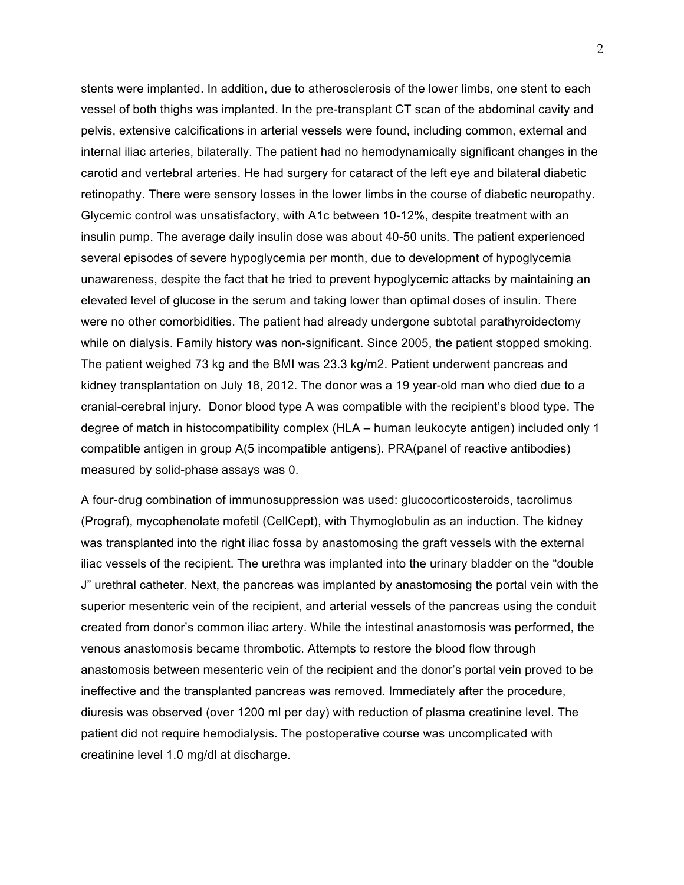stents were implanted. In addition, due to atherosclerosis of the lower limbs, one stent to each vessel of both thighs was implanted. In the pre-transplant CT scan of the abdominal cavity and pelvis, extensive calcifications in arterial vessels were found, including common, external and internal iliac arteries, bilaterally. The patient had no hemodynamically significant changes in the carotid and vertebral arteries. He had surgery for cataract of the left eye and bilateral diabetic retinopathy. There were sensory losses in the lower limbs in the course of diabetic neuropathy. Glycemic control was unsatisfactory, with A1c between 10-12%, despite treatment with an insulin pump. The average daily insulin dose was about 40-50 units. The patient experienced several episodes of severe hypoglycemia per month, due to development of hypoglycemia unawareness, despite the fact that he tried to prevent hypoglycemic attacks by maintaining an elevated level of glucose in the serum and taking lower than optimal doses of insulin. There were no other comorbidities. The patient had already undergone subtotal parathyroidectomy while on dialysis. Family history was non-significant. Since 2005, the patient stopped smoking. The patient weighed 73 kg and the BMI was 23.3 kg/m2. Patient underwent pancreas and kidney transplantation on July 18, 2012. The donor was a 19 year-old man who died due to a cranial-cerebral injury. Donor blood type A was compatible with the recipient's blood type. The degree of match in histocompatibility complex (HLA – human leukocyte antigen) included only 1 compatible antigen in group A(5 incompatible antigens). PRA(panel of reactive antibodies) measured by solid-phase assays was 0.

A four-drug combination of immunosuppression was used: glucocorticosteroids, tacrolimus (Prograf), mycophenolate mofetil (CellCept), with Thymoglobulin as an induction. The kidney was transplanted into the right iliac fossa by anastomosing the graft vessels with the external iliac vessels of the recipient. The urethra was implanted into the urinary bladder on the "double J" urethral catheter. Next, the pancreas was implanted by anastomosing the portal vein with the superior mesenteric vein of the recipient, and arterial vessels of the pancreas using the conduit created from donor's common iliac artery. While the intestinal anastomosis was performed, the venous anastomosis became thrombotic. Attempts to restore the blood flow through anastomosis between mesenteric vein of the recipient and the donor's portal vein proved to be ineffective and the transplanted pancreas was removed. Immediately after the procedure, diuresis was observed (over 1200 ml per day) with reduction of plasma creatinine level. The patient did not require hemodialysis. The postoperative course was uncomplicated with creatinine level 1.0 mg/dl at discharge.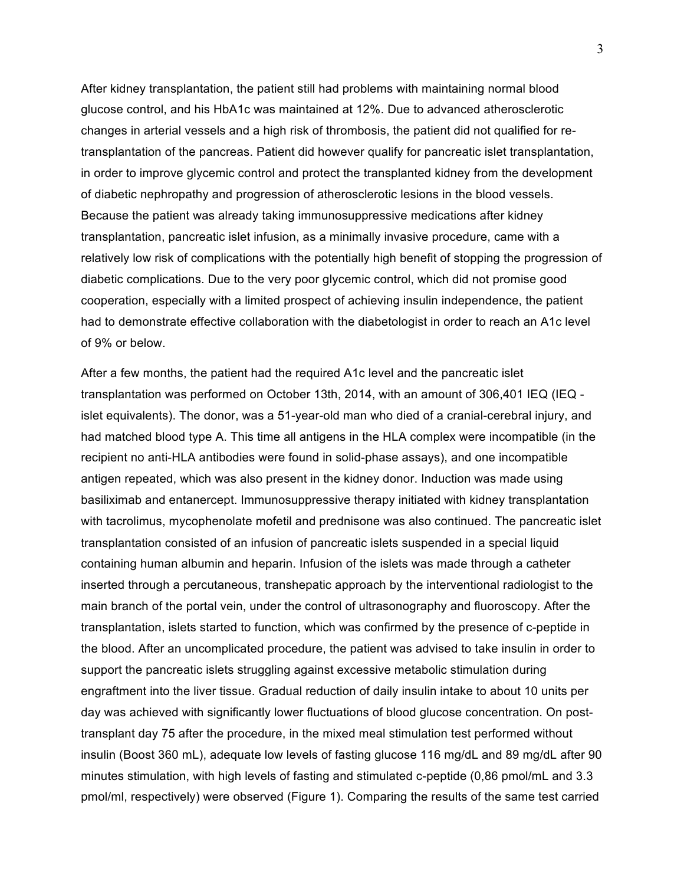After kidney transplantation, the patient still had problems with maintaining normal blood glucose control, and his HbA1c was maintained at 12%. Due to advanced atherosclerotic changes in arterial vessels and a high risk of thrombosis, the patient did not qualified for retransplantation of the pancreas. Patient did however qualify for pancreatic islet transplantation, in order to improve glycemic control and protect the transplanted kidney from the development of diabetic nephropathy and progression of atherosclerotic lesions in the blood vessels. Because the patient was already taking immunosuppressive medications after kidney transplantation, pancreatic islet infusion, as a minimally invasive procedure, came with a relatively low risk of complications with the potentially high benefit of stopping the progression of diabetic complications. Due to the very poor glycemic control, which did not promise good cooperation, especially with a limited prospect of achieving insulin independence, the patient had to demonstrate effective collaboration with the diabetologist in order to reach an A1c level of 9% or below.

After a few months, the patient had the required A1c level and the pancreatic islet transplantation was performed on October 13th, 2014, with an amount of 306,401 IEQ (IEQ islet equivalents). The donor, was a 51-year-old man who died of a cranial-cerebral injury, and had matched blood type A. This time all antigens in the HLA complex were incompatible (in the recipient no anti-HLA antibodies were found in solid-phase assays), and one incompatible antigen repeated, which was also present in the kidney donor. Induction was made using basiliximab and entanercept. Immunosuppressive therapy initiated with kidney transplantation with tacrolimus, mycophenolate mofetil and prednisone was also continued. The pancreatic islet transplantation consisted of an infusion of pancreatic islets suspended in a special liquid containing human albumin and heparin. Infusion of the islets was made through a catheter inserted through a percutaneous, transhepatic approach by the interventional radiologist to the main branch of the portal vein, under the control of ultrasonography and fluoroscopy. After the transplantation, islets started to function, which was confirmed by the presence of c-peptide in the blood. After an uncomplicated procedure, the patient was advised to take insulin in order to support the pancreatic islets struggling against excessive metabolic stimulation during engraftment into the liver tissue. Gradual reduction of daily insulin intake to about 10 units per day was achieved with significantly lower fluctuations of blood glucose concentration. On posttransplant day 75 after the procedure, in the mixed meal stimulation test performed without insulin (Boost 360 mL), adequate low levels of fasting glucose 116 mg/dL and 89 mg/dL after 90 minutes stimulation, with high levels of fasting and stimulated c-peptide (0,86 pmol/mL and 3.3 pmol/ml, respectively) were observed (Figure 1). Comparing the results of the same test carried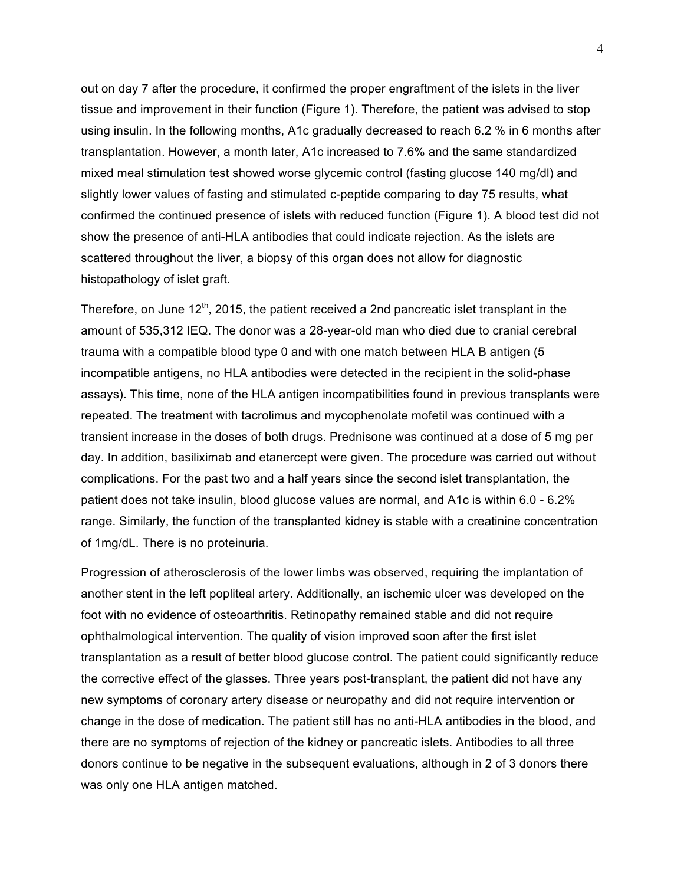out on day 7 after the procedure, it confirmed the proper engraftment of the islets in the liver tissue and improvement in their function (Figure 1). Therefore, the patient was advised to stop using insulin. In the following months, A1c gradually decreased to reach 6.2 % in 6 months after transplantation. However, a month later, A1c increased to 7.6% and the same standardized mixed meal stimulation test showed worse glycemic control (fasting glucose 140 mg/dl) and slightly lower values of fasting and stimulated c-peptide comparing to day 75 results, what confirmed the continued presence of islets with reduced function (Figure 1). A blood test did not show the presence of anti-HLA antibodies that could indicate rejection. As the islets are scattered throughout the liver, a biopsy of this organ does not allow for diagnostic histopathology of islet graft.

Therefore, on June  $12<sup>th</sup>$ , 2015, the patient received a 2nd pancreatic islet transplant in the amount of 535,312 IEQ. The donor was a 28-year-old man who died due to cranial cerebral trauma with a compatible blood type 0 and with one match between HLA B antigen (5 incompatible antigens, no HLA antibodies were detected in the recipient in the solid-phase assays). This time, none of the HLA antigen incompatibilities found in previous transplants were repeated. The treatment with tacrolimus and mycophenolate mofetil was continued with a transient increase in the doses of both drugs. Prednisone was continued at a dose of 5 mg per day. In addition, basiliximab and etanercept were given. The procedure was carried out without complications. For the past two and a half years since the second islet transplantation, the patient does not take insulin, blood glucose values are normal, and A1c is within 6.0 - 6.2% range. Similarly, the function of the transplanted kidney is stable with a creatinine concentration of 1mg/dL. There is no proteinuria.

Progression of atherosclerosis of the lower limbs was observed, requiring the implantation of another stent in the left popliteal artery. Additionally, an ischemic ulcer was developed on the foot with no evidence of osteoarthritis. Retinopathy remained stable and did not require ophthalmological intervention. The quality of vision improved soon after the first islet transplantation as a result of better blood glucose control. The patient could significantly reduce the corrective effect of the glasses. Three years post-transplant, the patient did not have any new symptoms of coronary artery disease or neuropathy and did not require intervention or change in the dose of medication. The patient still has no anti-HLA antibodies in the blood, and there are no symptoms of rejection of the kidney or pancreatic islets. Antibodies to all three donors continue to be negative in the subsequent evaluations, although in 2 of 3 donors there was only one HLA antigen matched.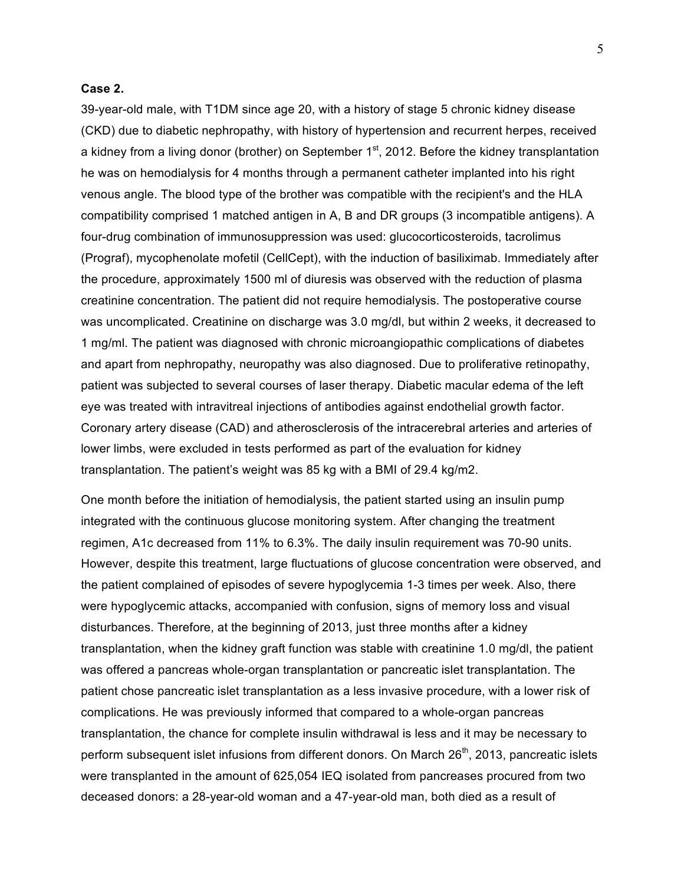#### **Case 2.**

39-year-old male, with T1DM since age 20, with a history of stage 5 chronic kidney disease (CKD) due to diabetic nephropathy, with history of hypertension and recurrent herpes, received a kidney from a living donor (brother) on September  $1<sup>st</sup>$ , 2012. Before the kidney transplantation he was on hemodialysis for 4 months through a permanent catheter implanted into his right venous angle. The blood type of the brother was compatible with the recipient's and the HLA compatibility comprised 1 matched antigen in A, B and DR groups (3 incompatible antigens). A four-drug combination of immunosuppression was used: glucocorticosteroids, tacrolimus (Prograf), mycophenolate mofetil (CellCept), with the induction of basiliximab. Immediately after the procedure, approximately 1500 ml of diuresis was observed with the reduction of plasma creatinine concentration. The patient did not require hemodialysis. The postoperative course was uncomplicated. Creatinine on discharge was 3.0 mg/dl, but within 2 weeks, it decreased to 1 mg/ml. The patient was diagnosed with chronic microangiopathic complications of diabetes and apart from nephropathy, neuropathy was also diagnosed. Due to proliferative retinopathy, patient was subjected to several courses of laser therapy. Diabetic macular edema of the left eye was treated with intravitreal injections of antibodies against endothelial growth factor. Coronary artery disease (CAD) and atherosclerosis of the intracerebral arteries and arteries of lower limbs, were excluded in tests performed as part of the evaluation for kidney transplantation. The patient's weight was 85 kg with a BMI of 29.4 kg/m2.

One month before the initiation of hemodialysis, the patient started using an insulin pump integrated with the continuous glucose monitoring system. After changing the treatment regimen, A1c decreased from 11% to 6.3%. The daily insulin requirement was 70-90 units. However, despite this treatment, large fluctuations of glucose concentration were observed, and the patient complained of episodes of severe hypoglycemia 1-3 times per week. Also, there were hypoglycemic attacks, accompanied with confusion, signs of memory loss and visual disturbances. Therefore, at the beginning of 2013, just three months after a kidney transplantation, when the kidney graft function was stable with creatinine 1.0 mg/dl, the patient was offered a pancreas whole-organ transplantation or pancreatic islet transplantation. The patient chose pancreatic islet transplantation as a less invasive procedure, with a lower risk of complications. He was previously informed that compared to a whole-organ pancreas transplantation, the chance for complete insulin withdrawal is less and it may be necessary to perform subsequent islet infusions from different donors. On March 26<sup>th</sup>, 2013, pancreatic islets were transplanted in the amount of 625,054 IEQ isolated from pancreases procured from two deceased donors: a 28-year-old woman and a 47-year-old man, both died as a result of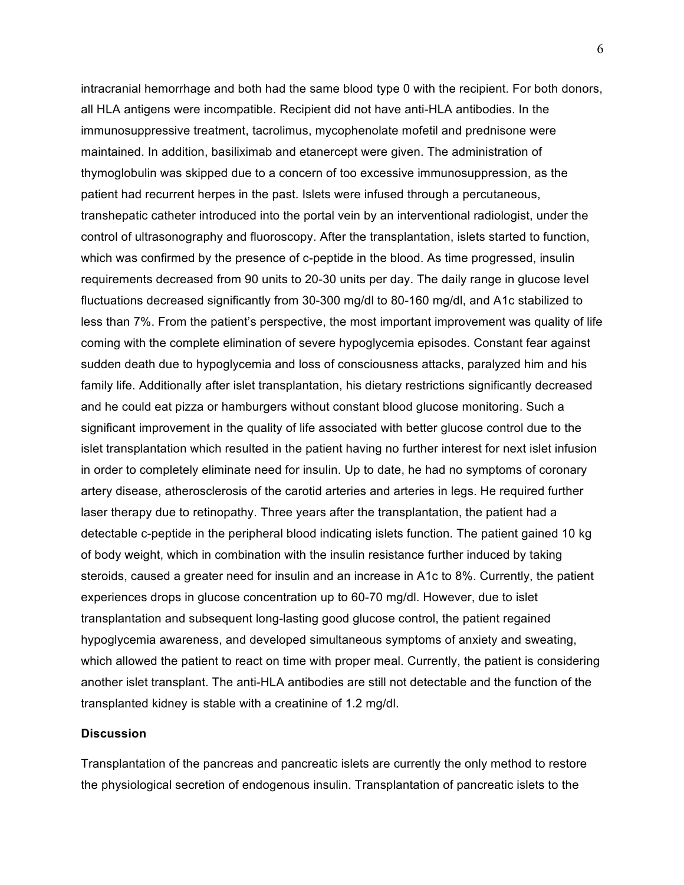intracranial hemorrhage and both had the same blood type 0 with the recipient. For both donors, all HLA antigens were incompatible. Recipient did not have anti-HLA antibodies. In the immunosuppressive treatment, tacrolimus, mycophenolate mofetil and prednisone were maintained. In addition, basiliximab and etanercept were given. The administration of thymoglobulin was skipped due to a concern of too excessive immunosuppression, as the patient had recurrent herpes in the past. Islets were infused through a percutaneous, transhepatic catheter introduced into the portal vein by an interventional radiologist, under the control of ultrasonography and fluoroscopy. After the transplantation, islets started to function, which was confirmed by the presence of c-peptide in the blood. As time progressed, insulin requirements decreased from 90 units to 20-30 units per day. The daily range in glucose level fluctuations decreased significantly from 30-300 mg/dl to 80-160 mg/dl, and A1c stabilized to less than 7%. From the patient's perspective, the most important improvement was quality of life coming with the complete elimination of severe hypoglycemia episodes. Constant fear against sudden death due to hypoglycemia and loss of consciousness attacks, paralyzed him and his family life. Additionally after islet transplantation, his dietary restrictions significantly decreased and he could eat pizza or hamburgers without constant blood glucose monitoring. Such a significant improvement in the quality of life associated with better glucose control due to the islet transplantation which resulted in the patient having no further interest for next islet infusion in order to completely eliminate need for insulin. Up to date, he had no symptoms of coronary artery disease, atherosclerosis of the carotid arteries and arteries in legs. He required further laser therapy due to retinopathy. Three years after the transplantation, the patient had a detectable c-peptide in the peripheral blood indicating islets function. The patient gained 10 kg of body weight, which in combination with the insulin resistance further induced by taking steroids, caused a greater need for insulin and an increase in A1c to 8%. Currently, the patient experiences drops in glucose concentration up to 60-70 mg/dl. However, due to islet transplantation and subsequent long-lasting good glucose control, the patient regained hypoglycemia awareness, and developed simultaneous symptoms of anxiety and sweating, which allowed the patient to react on time with proper meal. Currently, the patient is considering another islet transplant. The anti-HLA antibodies are still not detectable and the function of the transplanted kidney is stable with a creatinine of 1.2 mg/dl.

# **Discussion**

Transplantation of the pancreas and pancreatic islets are currently the only method to restore the physiological secretion of endogenous insulin. Transplantation of pancreatic islets to the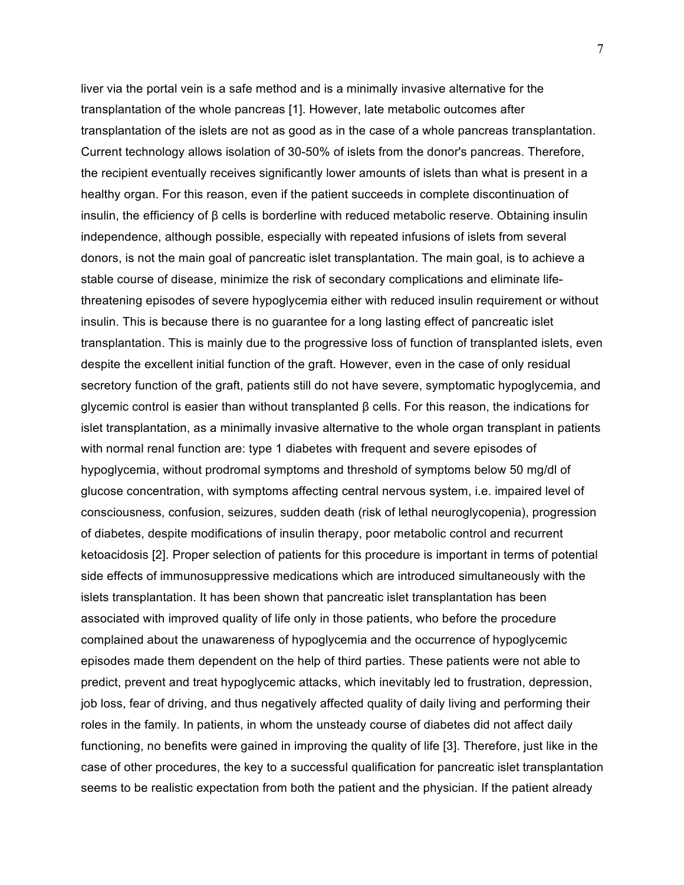liver via the portal vein is a safe method and is a minimally invasive alternative for the transplantation of the whole pancreas [1]. However, late metabolic outcomes after transplantation of the islets are not as good as in the case of a whole pancreas transplantation. Current technology allows isolation of 30-50% of islets from the donor's pancreas. Therefore, the recipient eventually receives significantly lower amounts of islets than what is present in a healthy organ. For this reason, even if the patient succeeds in complete discontinuation of insulin, the efficiency of β cells is borderline with reduced metabolic reserve. Obtaining insulin independence, although possible, especially with repeated infusions of islets from several donors, is not the main goal of pancreatic islet transplantation. The main goal, is to achieve a stable course of disease, minimize the risk of secondary complications and eliminate lifethreatening episodes of severe hypoglycemia either with reduced insulin requirement or without insulin. This is because there is no guarantee for a long lasting effect of pancreatic islet transplantation. This is mainly due to the progressive loss of function of transplanted islets, even despite the excellent initial function of the graft. However, even in the case of only residual secretory function of the graft, patients still do not have severe, symptomatic hypoglycemia, and glycemic control is easier than without transplanted β cells. For this reason, the indications for islet transplantation, as a minimally invasive alternative to the whole organ transplant in patients with normal renal function are: type 1 diabetes with frequent and severe episodes of hypoglycemia, without prodromal symptoms and threshold of symptoms below 50 mg/dl of glucose concentration, with symptoms affecting central nervous system, i.e. impaired level of consciousness, confusion, seizures, sudden death (risk of lethal neuroglycopenia), progression of diabetes, despite modifications of insulin therapy, poor metabolic control and recurrent ketoacidosis [2]. Proper selection of patients for this procedure is important in terms of potential side effects of immunosuppressive medications which are introduced simultaneously with the islets transplantation. It has been shown that pancreatic islet transplantation has been associated with improved quality of life only in those patients, who before the procedure complained about the unawareness of hypoglycemia and the occurrence of hypoglycemic episodes made them dependent on the help of third parties. These patients were not able to predict, prevent and treat hypoglycemic attacks, which inevitably led to frustration, depression, job loss, fear of driving, and thus negatively affected quality of daily living and performing their roles in the family. In patients, in whom the unsteady course of diabetes did not affect daily functioning, no benefits were gained in improving the quality of life [3]. Therefore, just like in the case of other procedures, the key to a successful qualification for pancreatic islet transplantation seems to be realistic expectation from both the patient and the physician. If the patient already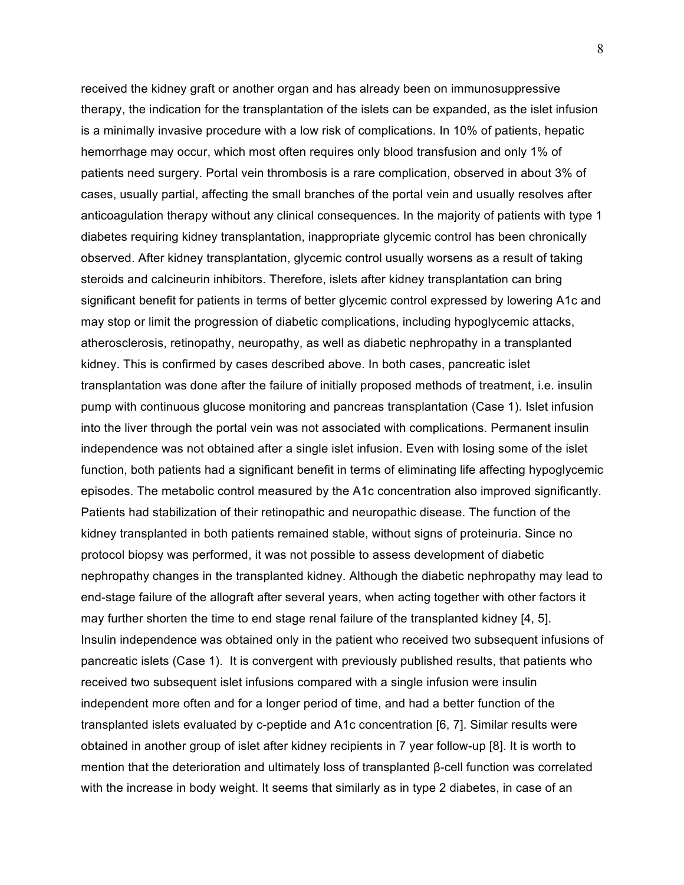received the kidney graft or another organ and has already been on immunosuppressive therapy, the indication for the transplantation of the islets can be expanded, as the islet infusion is a minimally invasive procedure with a low risk of complications. In 10% of patients, hepatic hemorrhage may occur, which most often requires only blood transfusion and only 1% of patients need surgery. Portal vein thrombosis is a rare complication, observed in about 3% of cases, usually partial, affecting the small branches of the portal vein and usually resolves after anticoagulation therapy without any clinical consequences. In the majority of patients with type 1 diabetes requiring kidney transplantation, inappropriate glycemic control has been chronically observed. After kidney transplantation, glycemic control usually worsens as a result of taking steroids and calcineurin inhibitors. Therefore, islets after kidney transplantation can bring significant benefit for patients in terms of better glycemic control expressed by lowering A1c and may stop or limit the progression of diabetic complications, including hypoglycemic attacks, atherosclerosis, retinopathy, neuropathy, as well as diabetic nephropathy in a transplanted kidney. This is confirmed by cases described above. In both cases, pancreatic islet transplantation was done after the failure of initially proposed methods of treatment, i.e. insulin pump with continuous glucose monitoring and pancreas transplantation (Case 1). Islet infusion into the liver through the portal vein was not associated with complications. Permanent insulin independence was not obtained after a single islet infusion. Even with losing some of the islet function, both patients had a significant benefit in terms of eliminating life affecting hypoglycemic episodes. The metabolic control measured by the A1c concentration also improved significantly. Patients had stabilization of their retinopathic and neuropathic disease. The function of the kidney transplanted in both patients remained stable, without signs of proteinuria. Since no protocol biopsy was performed, it was not possible to assess development of diabetic nephropathy changes in the transplanted kidney. Although the diabetic nephropathy may lead to end-stage failure of the allograft after several years, when acting together with other factors it may further shorten the time to end stage renal failure of the transplanted kidney [4, 5]. Insulin independence was obtained only in the patient who received two subsequent infusions of pancreatic islets (Case 1). It is convergent with previously published results, that patients who received two subsequent islet infusions compared with a single infusion were insulin independent more often and for a longer period of time, and had a better function of the transplanted islets evaluated by c-peptide and A1c concentration [6, 7]. Similar results were obtained in another group of islet after kidney recipients in 7 year follow-up [8]. It is worth to mention that the deterioration and ultimately loss of transplanted β-cell function was correlated with the increase in body weight. It seems that similarly as in type 2 diabetes, in case of an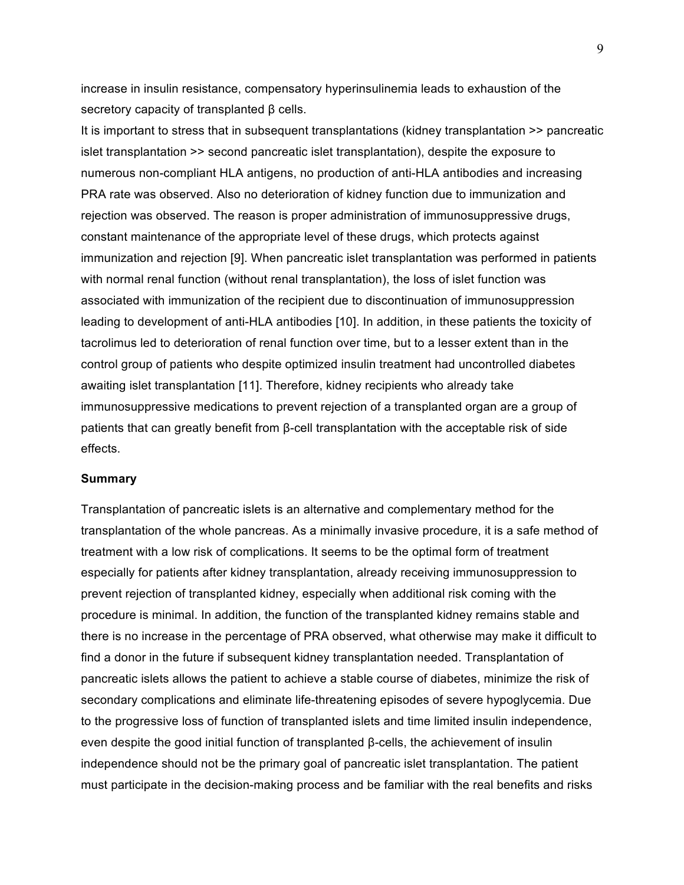increase in insulin resistance, compensatory hyperinsulinemia leads to exhaustion of the secretory capacity of transplanted β cells.

It is important to stress that in subsequent transplantations (kidney transplantation >> pancreatic islet transplantation >> second pancreatic islet transplantation), despite the exposure to numerous non-compliant HLA antigens, no production of anti-HLA antibodies and increasing PRA rate was observed. Also no deterioration of kidney function due to immunization and rejection was observed. The reason is proper administration of immunosuppressive drugs, constant maintenance of the appropriate level of these drugs, which protects against immunization and rejection [9]. When pancreatic islet transplantation was performed in patients with normal renal function (without renal transplantation), the loss of islet function was associated with immunization of the recipient due to discontinuation of immunosuppression leading to development of anti-HLA antibodies [10]. In addition, in these patients the toxicity of tacrolimus led to deterioration of renal function over time, but to a lesser extent than in the control group of patients who despite optimized insulin treatment had uncontrolled diabetes awaiting islet transplantation [11]. Therefore, kidney recipients who already take immunosuppressive medications to prevent rejection of a transplanted organ are a group of patients that can greatly benefit from β-cell transplantation with the acceptable risk of side effects.

## **Summary**

Transplantation of pancreatic islets is an alternative and complementary method for the transplantation of the whole pancreas. As a minimally invasive procedure, it is a safe method of treatment with a low risk of complications. It seems to be the optimal form of treatment especially for patients after kidney transplantation, already receiving immunosuppression to prevent rejection of transplanted kidney, especially when additional risk coming with the procedure is minimal. In addition, the function of the transplanted kidney remains stable and there is no increase in the percentage of PRA observed, what otherwise may make it difficult to find a donor in the future if subsequent kidney transplantation needed. Transplantation of pancreatic islets allows the patient to achieve a stable course of diabetes, minimize the risk of secondary complications and eliminate life-threatening episodes of severe hypoglycemia. Due to the progressive loss of function of transplanted islets and time limited insulin independence, even despite the good initial function of transplanted β-cells, the achievement of insulin independence should not be the primary goal of pancreatic islet transplantation. The patient must participate in the decision-making process and be familiar with the real benefits and risks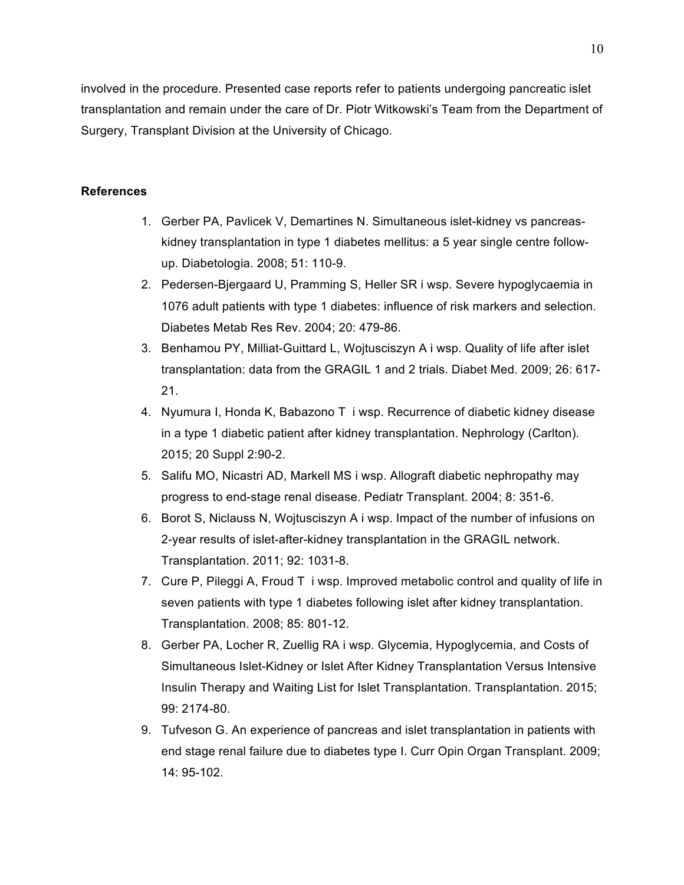involved in the procedure. Presented case reports refer to patients undergoing pancreatic islet transplantation and remain under the care of Dr. Piotr Witkowski's Team from the Department of Surgery, Transplant Division at the University of Chicago.

# **References**

- 1. Gerber PA, Pavlicek V, Demartines N. Simultaneous islet-kidney vs pancreaskidney transplantation in type 1 diabetes mellitus: a 5 year single centre followup. Diabetologia. 2008; 51: 110-9.
- 2. Pedersen-Bjergaard U, Pramming S, Heller SR i wsp. Severe hypoglycaemia in 1076 adult patients with type 1 diabetes: influence of risk markers and selection. Diabetes Metab Res Rev. 2004; 20: 479-86.
- 3. Benhamou PY, Milliat-Guittard L, Wojtusciszyn A i wsp. Quality of life after islet transplantation: data from the GRAGIL 1 and 2 trials. Diabet Med. 2009; 26: 617- 21.
- 4. Nyumura I, Honda K, Babazono T i wsp. Recurrence of diabetic kidney disease in a type 1 diabetic patient after kidney transplantation. Nephrology (Carlton). 2015; 20 Suppl 2:90-2.
- 5. Salifu MO, Nicastri AD, Markell MS i wsp. Allograft diabetic nephropathy may progress to end-stage renal disease. Pediatr Transplant. 2004; 8: 351-6.
- 6. Borot S, Niclauss N, Wojtusciszyn A i wsp. Impact of the number of infusions on 2-year results of islet-after-kidney transplantation in the GRAGIL network. Transplantation. 2011; 92: 1031-8.
- 7. Cure P, Pileggi A, Froud T i wsp. Improved metabolic control and quality of life in seven patients with type 1 diabetes following islet after kidney transplantation. Transplantation. 2008; 85: 801-12.
- 8. Gerber PA, Locher R, Zuellig RA i wsp. Glycemia, Hypoglycemia, and Costs of Simultaneous Islet-Kidney or Islet After Kidney Transplantation Versus Intensive Insulin Therapy and Waiting List for Islet Transplantation. Transplantation. 2015; 99: 2174-80.
- 9. Tufveson G. An experience of pancreas and islet transplantation in patients with end stage renal failure due to diabetes type I. Curr Opin Organ Transplant. 2009; 14: 95-102.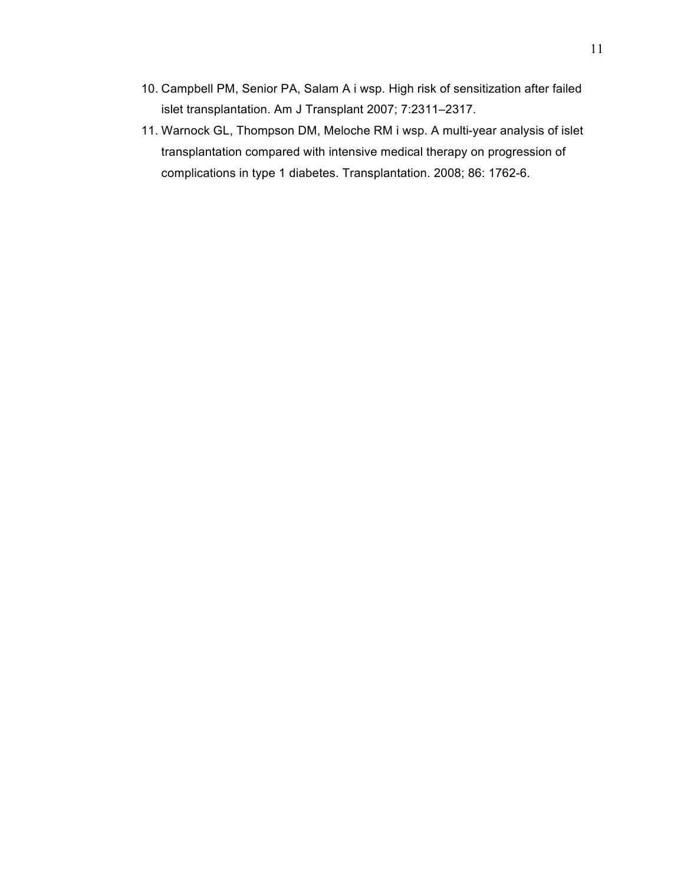- 10. Campbell PM, Senior PA, Salam A i wsp. High risk of sensitization after failed islet transplantation. Am J Transplant 2007; 7:2311–2317.
- 11. Warnock GL, Thompson DM, Meloche RM i wsp. A multi-year analysis of islet transplantation compared with intensive medical therapy on progression of complications in type 1 diabetes. Transplantation. 2008; 86: 1762-6.